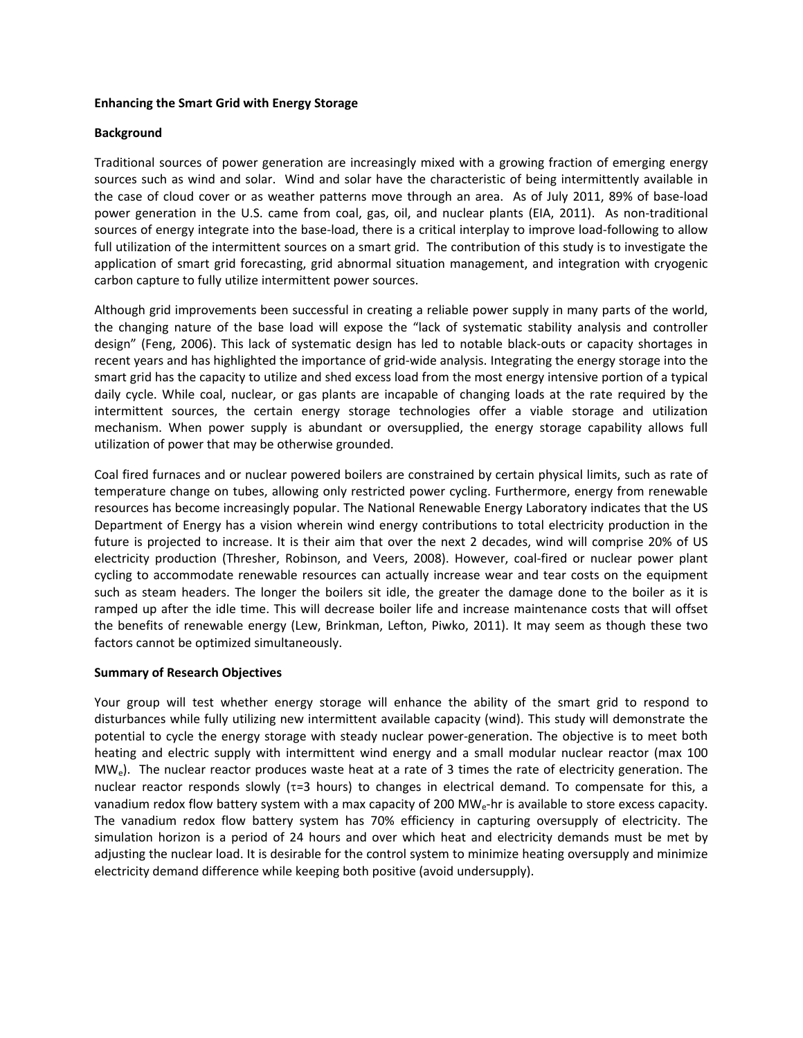## **Enhancing the Smart Grid with Energy Storage**

## **Background**

Traditional sources of power generation are increasingly mixed with a growing fraction of emerging energy sources such as wind and solar. Wind and solar have the characteristic of being intermittently available in the case of cloud cover or as weather patterns move through an area. As of July 2011, 89% of base‐load power generation in the U.S. came from coal, gas, oil, and nuclear plants (EIA, 2011). As non-traditional sources of energy integrate into the base-load, there is a critical interplay to improve load-following to allow full utilization of the intermittent sources on a smart grid. The contribution of this study is to investigate the application of smart grid forecasting, grid abnormal situation management, and integration with cryogenic carbon capture to fully utilize intermittent power sources.

Although grid improvements been successful in creating a reliable power supply in many parts of the world, the changing nature of the base load will expose the "lack of systematic stability analysis and controller design" (Feng, 2006). This lack of systematic design has led to notable black-outs or capacity shortages in recent years and has highlighted the importance of grid‐wide analysis. Integrating the energy storage into the smart grid has the capacity to utilize and shed excess load from the most energy intensive portion of a typical daily cycle. While coal, nuclear, or gas plants are incapable of changing loads at the rate required by the intermittent sources, the certain energy storage technologies offer a viable storage and utilization mechanism. When power supply is abundant or oversupplied, the energy storage capability allows full utilization of power that may be otherwise grounded.

Coal fired furnaces and or nuclear powered boilers are constrained by certain physical limits, such as rate of temperature change on tubes, allowing only restricted power cycling. Furthermore, energy from renewable resources has become increasingly popular. The National Renewable Energy Laboratory indicates that the US Department of Energy has a vision wherein wind energy contributions to total electricity production in the future is projected to increase. It is their aim that over the next 2 decades, wind will comprise 20% of US electricity production (Thresher, Robinson, and Veers, 2008). However, coal‐fired or nuclear power plant cycling to accommodate renewable resources can actually increase wear and tear costs on the equipment such as steam headers. The longer the boilers sit idle, the greater the damage done to the boiler as it is ramped up after the idle time. This will decrease boiler life and increase maintenance costs that will offset the benefits of renewable energy (Lew, Brinkman, Lefton, Piwko, 2011). It may seem as though these two factors cannot be optimized simultaneously.

## **Summary of Research Objectives**

Your group will test whether energy storage will enhance the ability of the smart grid to respond to disturbances while fully utilizing new intermittent available capacity (wind). This study will demonstrate the potential to cycle the energy storage with steady nuclear power-generation. The objective is to meet both heating and electric supply with intermittent wind energy and a small modular nuclear reactor (max 100  $MW<sub>e</sub>$ ). The nuclear reactor produces waste heat at a rate of 3 times the rate of electricity generation. The nuclear reactor responds slowly ( $\tau$ =3 hours) to changes in electrical demand. To compensate for this, a vanadium redox flow battery system with a max capacity of 200 MW<sub>e</sub>-hr is available to store excess capacity. The vanadium redox flow battery system has 70% efficiency in capturing oversupply of electricity. The simulation horizon is a period of 24 hours and over which heat and electricity demands must be met by adjusting the nuclear load. It is desirable for the control system to minimize heating oversupply and minimize electricity demand difference while keeping both positive (avoid undersupply).